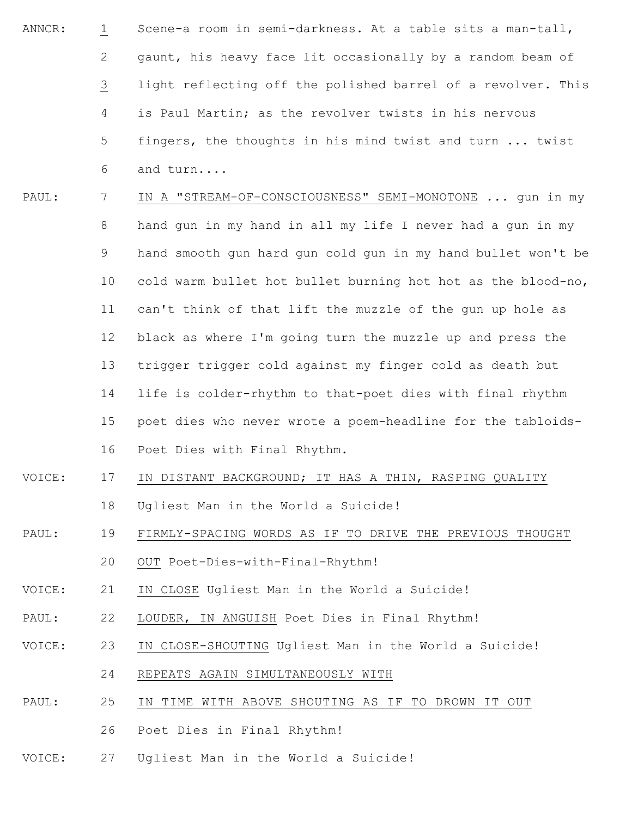- ANNCR: 1 2 3 4 5 6 Scene-a room in semi-darkness. At a table sits a man-tall, gaunt, his heavy face lit occasionally by a random beam of light reflecting off the polished barrel of a revolver. This is Paul Martin; as the revolver twists in his nervous fingers, the thoughts in his mind twist and turn ... twist and turn....
- PAUL: 7 8 9 10 11 12 13 14 15 16 IN A "STREAM-OF-CONSCIOUSNESS" SEMI-MONOTONE *...* gun in my hand gun in my hand in all my life I never had a gun in my hand smooth gun hard gun cold gun in my hand bullet won't be cold warm bullet hot bullet burning hot hot as the blood-no, can't think of that lift the muzzle of the gun up hole as black as where I'm going turn the muzzle up and press the trigger trigger cold against my finger cold as death but life is colder-rhythm to that-poet dies with final rhythm poet dies who never wrote a poem-headline for the tabloids-Poet Dies with Final Rhythm.
- VOICE: 17 18 IN DISTANT BACKGROUND; IT HAS A THIN, RASPING QUALITY Ugliest Man in the World a Suicide!
- PAUL: 19 FIRMLY-SPACING WORDS AS IF TO DRIVE THE PREVIOUS THOUGHT
	- 20 OUT Poet-Dies-with-Final-Rhythm!
- VOICE: 21 IN CLOSE Ugliest Man in the World a Suicide!
- PAUL: 22 LOUDER, IN ANGUISH Poet Dies in Final Rhythm!
- VOICE: 23 IN CLOSE-SHOUTING Ugliest Man in the World a Suicide!
	- 24 REPEATS AGAIN SIMULTANEOUSLY WITH
- PAUL: 25 IN TIME WITH ABOVE SHOUTING AS IF TO DROWN IT OUT
	- 26 Poet Dies in Final Rhythm!
- VOICE: 27 Ugliest Man in the World a Suicide!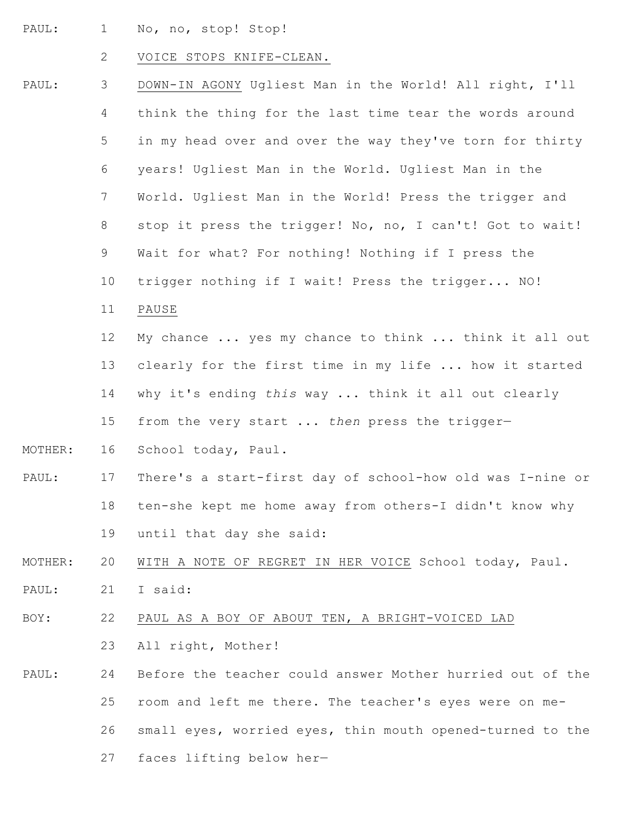PAUL: 1 No, no, stop! Stop!

# 2 VOICE STOPS KNIFE-CLEAN.

| PAUL:   | 3              | DOWN-IN AGONY Ugliest Man in the World! All right, I'll   |
|---------|----------------|-----------------------------------------------------------|
|         | 4              | think the thing for the last time tear the words around   |
|         | 5              | in my head over and over the way they've torn for thirty  |
|         | 6              | years! Ugliest Man in the World. Ugliest Man in the       |
|         | $7\phantom{.}$ | World. Ugliest Man in the World! Press the trigger and    |
|         | 8              | stop it press the trigger! No, no, I can't! Got to wait!  |
|         | 9              | Wait for what? For nothing! Nothing if I press the        |
|         | 10             | trigger nothing if I wait! Press the trigger NO!          |
|         | 11             | PAUSE                                                     |
|         | 12             | My chance  yes my chance to think  think it all out       |
|         | 13             | clearly for the first time in my life  how it started     |
|         | 14             | why it's ending this way  think it all out clearly        |
|         | 15             | from the very start  then press the trigger-              |
| MOTHER: | 16             | School today, Paul.                                       |
| PAUL:   | 17             | There's a start-first day of school-how old was I-nine or |
|         | 18             | ten-she kept me home away from others-I didn't know why   |
|         | 19             | until that day she said:                                  |
| MOTHER: | 20             | WITH A NOTE OF REGRET IN HER VOICE School today, Paul.    |
| PAUL:   | 21             | I said:                                                   |
| BOY:    | 22             | PAUL AS A BOY OF ABOUT TEN, A BRIGHT-VOICED LAD           |
|         | 23             | All right, Mother!                                        |
| PAUL:   | 24             | Before the teacher could answer Mother hurried out of the |
|         | 25             | room and left me there. The teacher's eyes were on me-    |
|         | 26             | small eyes, worried eyes, thin mouth opened-turned to the |
|         | 27             | faces lifting below her-                                  |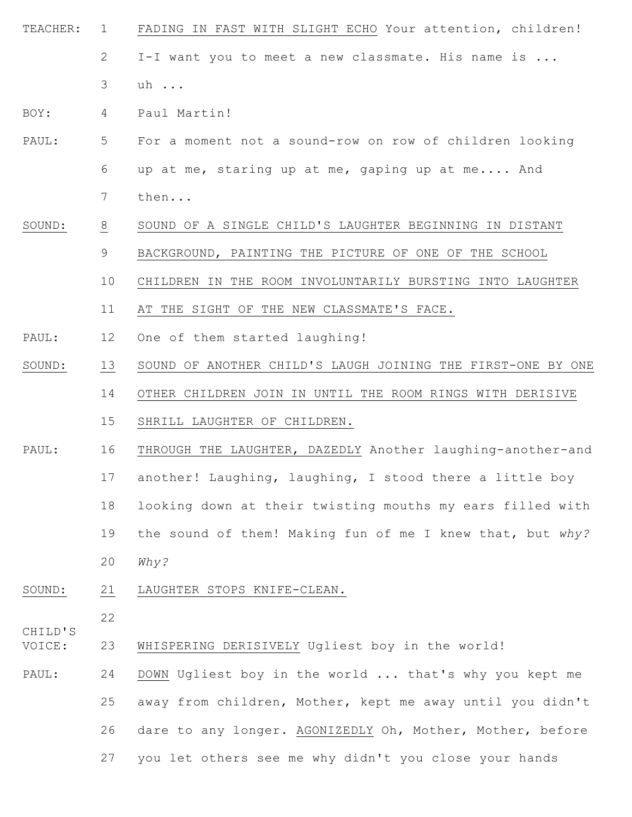TEACHER: 1 2 3 FADING IN FAST WITH SLIGHT ECHO Your attention, children! I-I want you to meet a new classmate. His name is ... uh ...

BOY: 4 Paul Martin!

- PAUL: 5 6 7 For a moment not a sound-row on row of children looking up at me, staring up at me, gaping up at me.... And then...
- SOUND: 8 9 SOUND OF A SINGLE CHILD'S LAUGHTER BEGINNING IN DISTANT BACKGROUND, PAINTING THE PICTURE OF ONE OF THE SCHOOL
	- 10 CHILDREN IN THE ROOM INVOLUNTARILY BURSTING INTO LAUGHTER
	- 11 AT THE SIGHT OF THE NEW CLASSMATE'S FACE.
- PAUL: 12 One of them started laughing!
- SOUND: 13 SOUND OF ANOTHER CHILD'S LAUGH JOINING THE FIRST-ONE BY ONE
	- 14 OTHER CHILDREN JOIN IN UNTIL THE ROOM RINGS WITH DERISIVE
		- 15 SHRILL LAUGHTER OF CHILDREN.
- PAUL: 16 THROUGH THE LAUGHTER, DAZEDLY Another laughing-another-and
	- 17 another! Laughing, laughing, I stood there a little boy
	- 18 looking down at their twisting mouths my ears filled with
		- 19 the sound of them! Making fun of me I knew that, but *why?*
		- 20 *Why?*
- SOUND: 21 LAUGHTER STOPS KNIFE-CLEAN.

CHILD'S

22

- VOICE: 23 WHISPERING DERISIVELY Ugliest boy in the world!
- PAUL: 24 25 26 27 DOWN Ugliest boy in the world ... that's why you kept me away from children, Mother, kept me away until you didn't dare to any longer. AGONIZEDLY Oh, Mother, Mother, before you let others see me why didn't you close your hands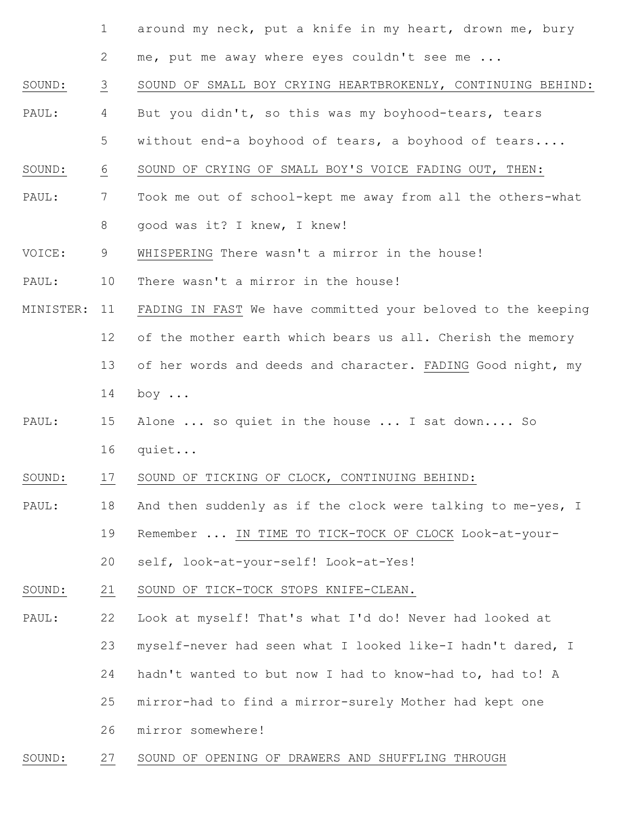- 1 around my neck, put a knife in my heart, drown me, bury
	- 2 me, put me away where eyes couldn't see me ...
- SOUND: 3 SOUND OF SMALL BOY CRYING HEARTBROKENLY, CONTINUING BEHIND:
- PAUL: 4 But you didn't, so this was my boyhood-tears, tears
- 5 without end-a boyhood of tears, a boyhood of tears....
- SOUND: 6 SOUND OF CRYING OF SMALL BOY'S VOICE FADING OUT, THEN:
- PAUL: 7 8 Took me out of school-kept me away from all the others-what good was it? I knew, I knew!
- VOICE: 9 WHISPERING There wasn't a mirror in the house!
- PAUL: 10 There wasn't a mirror in the house!
- MINISTER: 11 FADING IN FAST We have committed your beloved to the keeping
	- 12 of the mother earth which bears us all. Cherish the memory
	- 13 14 of her words and deeds and character. FADING Good night, my boy ...
- PAUL: 15 16 Alone ... so quiet in the house ... I sat down.... So quiet...
- SOUND: 17 SOUND OF TICKING OF CLOCK, CONTINUING BEHIND:
- PAUL: 18 And then suddenly as if the clock were talking to me-yes, I
	- 19 Remember ... IN TIME TO TICK-TOCK OF CLOCK Look-at-your-
	- 20 self, look-at-your-self! Look-at-Yes!
- SOUND: 21 SOUND OF TICK-TOCK STOPS KNIFE-CLEAN.
- PAUL: 22 Look at myself! That's what I'd do! Never had looked at
	- 23 myself-never had seen what I looked like-I hadn't dared, I
	- 24 hadn't wanted to but now I had to know-had to, had to! A
		- 25 mirror-had to find a mirror-surely Mother had kept one
	- 26 mirror somewhere!
- SOUND: 27 SOUND OF OPENING OF DRAWERS AND SHUFFLING THROUGH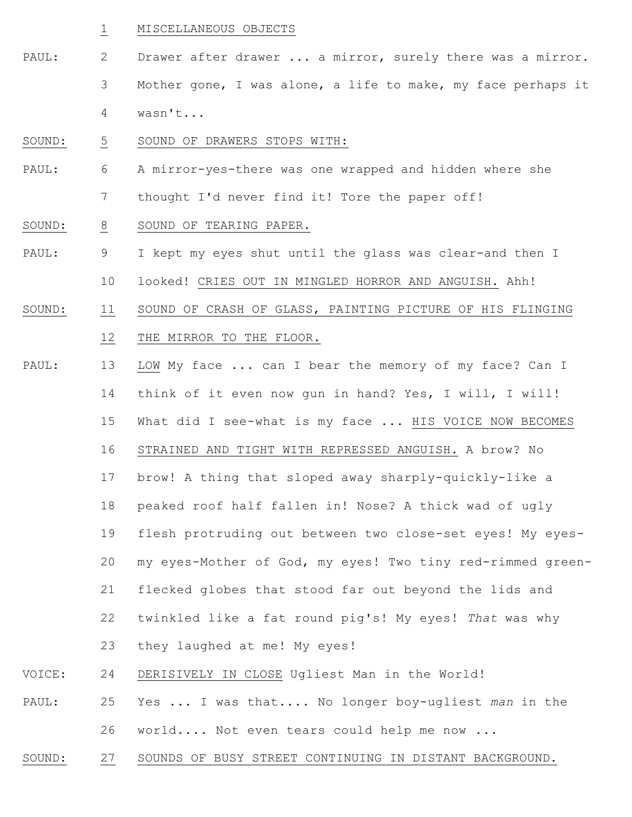### 1 MISCELLANEOUS OBJECTS

- PAUL: 2 3 4 Drawer after drawer ... a mirror, surely there was a mirror. Mother gone, I was alone, a life to make, my face perhaps it wasn't...
- SOUND: 5 SOUND OF DRAWERS STOPS WITH:
- PAUL: 6 7 A mirror-yes-there was one wrapped and hidden where she thought I'd never find it! Tore the paper off!
- SOUND: 8 SOUND OF TEARING PAPER.
- PAUL: 9 I kept my eyes shut until the glass was clear-and then I
	- 10 looked! CRIES OUT IN MINGLED HORROR AND ANGUISH. Ahh!
- SOUND: 11 12 SOUND OF CRASH OF GLASS, PAINTING PICTURE OF HIS FLINGING THE MIRROR TO THE FLOOR.
- PAUL: VOICE: PAUL: 13 14 15 16 17 18 19 20 21 22 23 24 25 LOW My face ... can I bear the memory of my face? Can I think of it even now gun in hand? Yes, I will, I will! What did I see-what is my face ... HIS VOICE NOW BECOMES STRAINED AND TIGHT WITH REPRESSED ANGUISH. A brow? No brow! A thing that sloped away sharply-quickly-like a peaked roof half fallen in! Nose? A thick wad of ugly flesh protruding out between two close-set eyes! My eyesmy eyes-Mother of God, my eyes! Two tiny red-rimmed greenflecked globes that stood far out beyond the lids and twinkled like a fat round pig's! My eyes! *That* was why they laughed at me! My eyes! DERISIVELY IN CLOSE Ugliest Man in the World! Yes ... I was that.... No longer boy-ugliest *man* in the
	- 26 world.... Not even tears could help me now ...
- SOUND: 27 SOUNDS OF BUSY STREET CONTINUING IN DISTANT BACKGROUND.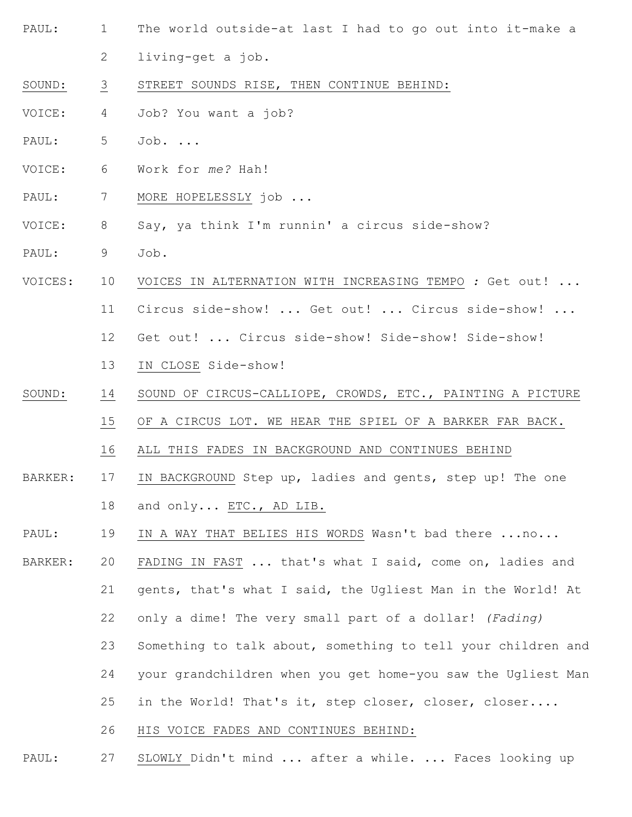- PAUL: 1 The world outside-at last I had to go out into it-make a
	- 2 living-get a job.
- SOUND: 3 STREET SOUNDS RISE, THEN CONTINUE BEHIND:
- VOICE: 4 Job? You want a job?
- PAUL: 5 Job. ...
- VOICE: 6 Work for *me?* Hah!
- PAUL: 7 MORE HOPELESSLY job ...
- VOICE: 8 Say, ya think I'm runnin' a circus side-show?
- PAUL: 9 Job.
- VOICES: 10 VOICES IN ALTERNATION WITH INCREASING TEMPO *:* Get out! ...
	- 11 Circus side-show! ... Get out! ... Circus side-show! ...
	- 12 Get out! ... Circus side-show! Side-show! Side-show!
	- 13 IN CLOSE Side-show!
- SOUND: 14 SOUND OF CIRCUS-CALLIOPE, CROWDS, ETC., PAINTING A PICTURE
	- 15 OF A CIRCUS LOT. WE HEAR THE SPIEL OF A BARKER FAR BACK.
		- 16 ALL THIS FADES IN BACKGROUND AND CONTINUES BEHIND
- BARKER: 17 18 IN BACKGROUND Step up, ladies and gents, step up! The one and only... ETC., AD LIB.
- PAUL: 19 IN A WAY THAT BELIES HIS WORDS Wasn't bad there ...no...
- BARKER: 20 21 22 FADING IN FAST ... that's what I said, come on, ladies and gents, that's what I said, the Ugliest Man in the World! At only a dime! The very small part of a dollar! *(Fading)*
	- 23 Something to talk about, something to tell your children and
	- 24 your grandchildren when you get home-you saw the Ugliest Man
	-
	- 25 in the World! That's it, step closer, closer, closer....
	- 26 HIS VOICE FADES AND CONTINUES BEHIND:
- PAUL: 27 SLOWLY Didn't mind ... after a while. ... Faces looking up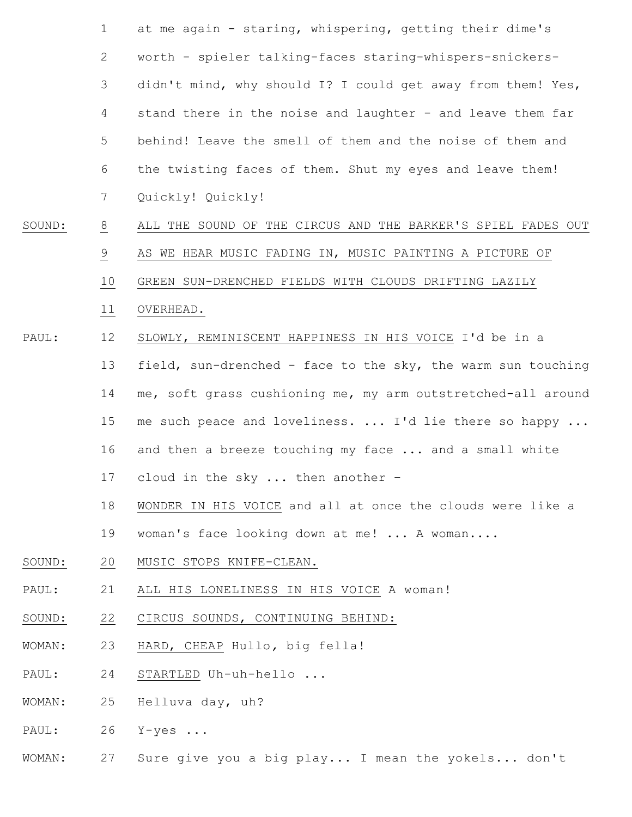|        | $\mathbf{1}$   | at me again - staring, whispering, getting their dime's      |
|--------|----------------|--------------------------------------------------------------|
|        | $\mathbf{2}$   | worth - spieler talking-faces staring-whispers-snickers-     |
|        | 3              | didn't mind, why should I? I could get away from them! Yes,  |
|        | 4              | stand there in the noise and laughter - and leave them far   |
|        | 5              | behind! Leave the smell of them and the noise of them and    |
|        | 6              | the twisting faces of them. Shut my eyes and leave them!     |
|        | 7              | Quickly! Quickly!                                            |
| SOUND: | $\overline{8}$ | ALL THE SOUND OF THE CIRCUS AND THE BARKER'S SPIEL FADES OUT |
|        | $\frac{9}{1}$  | AS WE HEAR MUSIC FADING IN, MUSIC PAINTING A PICTURE OF      |
|        | 10             | GREEN SUN-DRENCHED FIELDS WITH CLOUDS DRIFTING LAZILY        |
|        | 11             | OVERHEAD.                                                    |
| PAUL:  | 12             | SLOWLY, REMINISCENT HAPPINESS IN HIS VOICE I'd be in a       |
|        | 13             | field, sun-drenched - face to the sky, the warm sun touching |
|        | 14             | me, soft grass cushioning me, my arm outstretched-all around |
|        | 15             | me such peace and loveliness.  I'd lie there so happy        |
|        | 16             | and then a breeze touching my face  and a small white        |
|        |                | 17 cloud in the sky  then another -                          |
|        | 18             | WONDER IN HIS VOICE and all at once the clouds were like a   |
|        | 19             | woman's face looking down at me!  A woman                    |
| SOUND: | 20             | MUSIC STOPS KNIFE-CLEAN.                                     |
| PAUL:  | 21             | ALL HIS LONELINESS IN HIS VOICE A woman!                     |
| SOUND: | 22             | CIRCUS SOUNDS, CONTINUING BEHIND:                            |
| WOMAN: | 23             | HARD, CHEAP Hullo, big fella!                                |
| PAUL:  | 24             | STARTLED Uh-uh-hello                                         |

WOMAN: 25 Helluva day, uh?

PAUL: 26 Y-yes ...

WOMAN: 27 Sure give you a big play... I mean the yokels... don't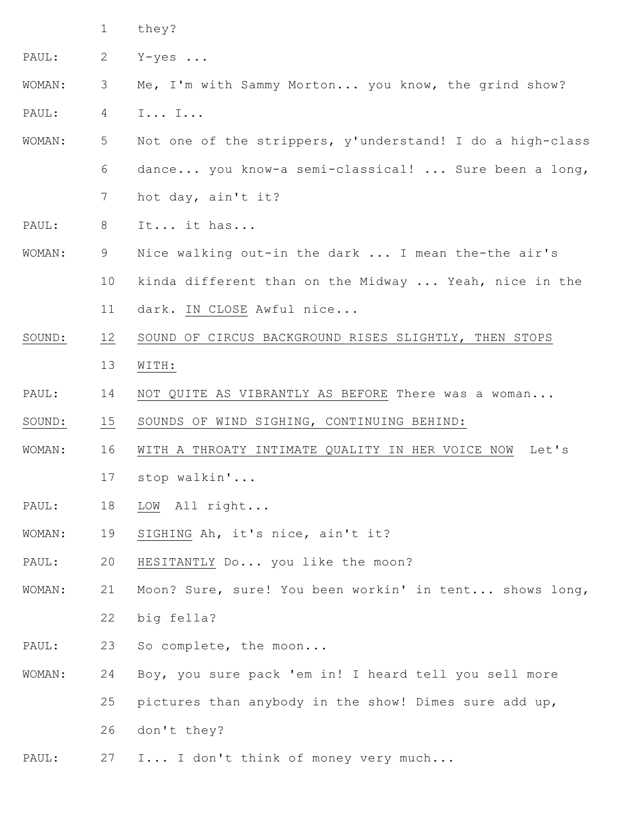1 they?

PAUL: 2 Y-yes ...

## WOMAN: PAUL: 3 4 Me, I'm with Sammy Morton... you know, the grind show? I... I...

- WOMAN: 5 6 7 Not one of the strippers, y'understand! I do a high-class dance... you know-a semi-classical! ... Sure been a long, hot day, ain't it?
- PAUL: 8 It... it has...
- WOMAN: 9 10 11 Nice walking out-in the dark ... I mean the-the air's kinda different than on the Midway ... Yeah, nice in the dark. IN CLOSE Awful nice...
- SOUND: 12 13 SOUND OF CIRCUS BACKGROUND RISES SLIGHTLY, THEN STOPS WITH:
- PAUL: 14 NOT QUITE AS VIBRANTLY AS BEFORE There was a woman...
- SOUND: 15 SOUNDS OF WIND SIGHING, CONTINUING BEHIND:
- WOMAN: 16 17 WITH A THROATY INTIMATE QUALITY IN HER VOICE NOW Let's stop walkin'...
- PAUL: 18 LOW All right...
- WOMAN: 19 SIGHING Ah, it's nice, ain't it?
- PAUL: 20 HESITANTLY Do... you like the moon?
- WOMAN: 21 22 Moon? Sure, sure! You been workin' in tent... shows long, big fella?
- PAUL: 23 So complete, the moon...
- WOMAN: 24 25 26 Boy, you sure pack 'em in! I heard tell you sell more pictures than anybody in the show! Dimes sure add up, don't they?
- PAUL: 27 I... I don't think of money very much...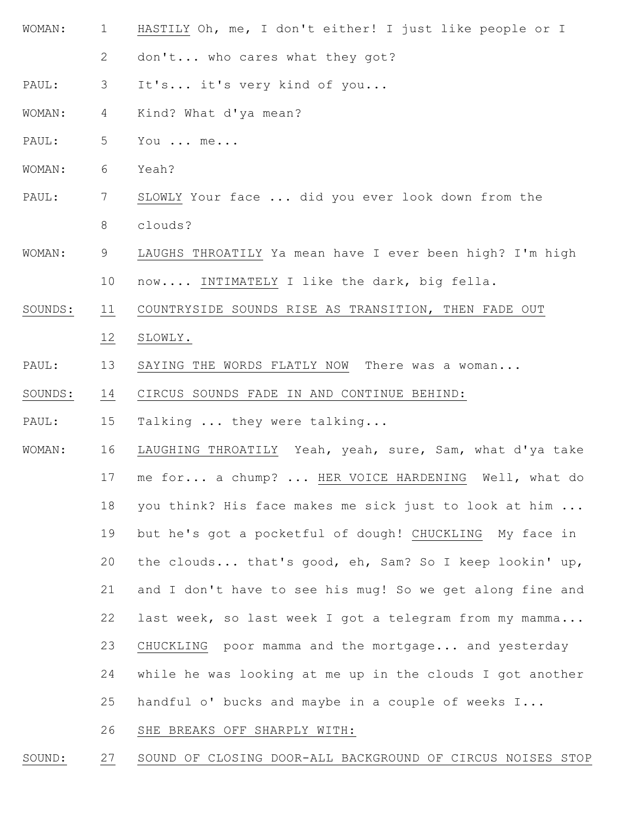- WOMAN: 1 2 HASTILY Oh, me, I don't either! I just like people or I don't... who cares what they got?
- PAUL: 3 It's... it's very kind of you...
- WOMAN: 4 Kind? What d'ya mean?
- PAUL: 5 You ... me...
- WOMAN: 6 Yeah?
- PAUL: 7 8 SLOWLY Your face ... did you ever look down from the clouds?
- WOMAN: 9 10 LAUGHS THROATILY Ya mean have I ever been high? I'm high now.... INTIMATELY I like the dark, big fella.
- SOUNDS: 11 COUNTRYSIDE SOUNDS RISE AS TRANSITION, THEN FADE OUT
	- 12 SLOWLY.
- PAUL: 13 SAYING THE WORDS FLATLY NOW There was a woman...
- SOUNDS: 14 CIRCUS SOUNDS FADE IN AND CONTINUE BEHIND:
- PAUL: 15 Talking ... they were talking...
- WOMAN: 16 17 18 19 20 21 22 23 24 25 LAUGHING THROATILY Yeah, yeah, sure, Sam, what d'ya take me for... a chump? ... HER VOICE HARDENING Well, what do you think? His face makes me sick just to look at him ... but he's got a pocketful of dough! CHUCKLING My face in the clouds... that's good, eh, Sam? So I keep lookin' up, and I don't have to see his mug! So we get along fine and last week, so last week I got a telegram from my mamma... CHUCKLING poor mamma and the mortgage... and yesterday while he was looking at me up in the clouds I got another handful o' bucks and maybe in a couple of weeks I...
	- 26 SHE BREAKS OFF SHARPLY WITH:

SOUND: 27 SOUND OF CLOSING DOOR-ALL BACKGROUND OF CIRCUS NOISES STOP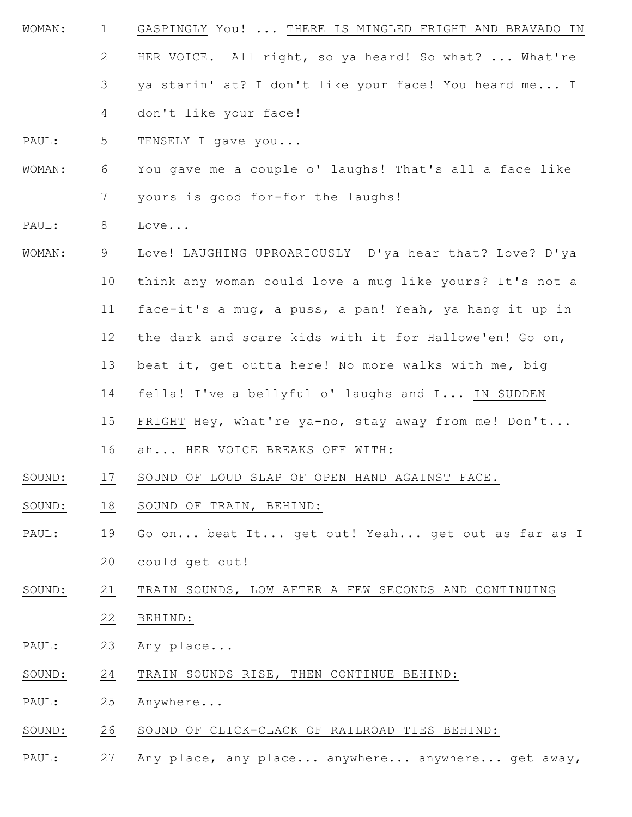- WOMAN: 1 2 3 GASPINGLY You! ... THERE IS MINGLED FRIGHT AND BRAVADO IN HER VOICE. All right, so ya heard! So what? ... What're ya starin' at? I don't like your face! You heard me... I don't like your face!
- PAUL: 5 TENSELY I gave you...
- WOMAN: 6 7 You gave me a couple o' laughs! That's all a face like yours is good for-for the laughs!
- PAUL: 8 Love...

4

- WOMAN: 9 10 11 12 13 14 15 Love! LAUGHING UPROARIOUSLY D'ya hear that? Love? D'ya think any woman could love a mug like yours? It's not a face-it's a mug, a puss, a pan! Yeah, ya hang it up in the dark and scare kids with it for Hallowe'en! Go on, beat it, get outta here! No more walks with me, big fella! I've a bellyful o' laughs and I... IN SUDDEN FRIGHT Hey, what're ya-no, stay away from me! Don't...
	- 16 ah... HER VOICE BREAKS OFF WITH:
- SOUND: 17 SOUND OF LOUD SLAP OF OPEN HAND AGAINST FACE.
- SOUND: 18 SOUND OF TRAIN, BEHIND:
- PAUL: 19 20 Go on... beat It... get out! Yeah... get out as far as I could get out!
- SOUND: 21 22 TRAIN SOUNDS, LOW AFTER A FEW SECONDS AND CONTINUING BEHIND:
- PAUL: 23 Any place...
- SOUND: 24 TRAIN SOUNDS RISE, THEN CONTINUE BEHIND:
- PAUL: 25 Anywhere...
- SOUND: 26 SOUND OF CLICK-CLACK OF RAILROAD TIES BEHIND:
- PAUL: 27 Any place, any place... anywhere... anywhere... get away,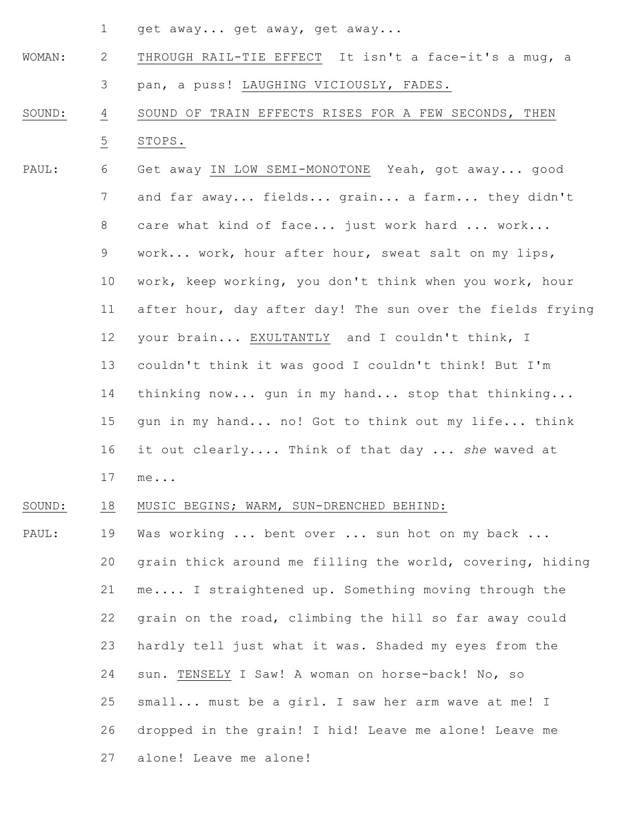1 get away... get away, get away...

- WOMAN: 2 3 THROUGH RAIL-TIE EFFECT It isn't a face-it's a mug, a pan, a puss! LAUGHING VICIOUSLY, FADES.
- SOUND: 4 5 SOUND OF TRAIN EFFECTS RISES FOR A FEW SECONDS, THEN STOPS.
- PAUL: 6 7 8 9 10 11 12 13 14 15 16 17 Get away IN LOW SEMI-MONOTONE Yeah, got away... good and far away... fields... grain... a farm... they didn't care what kind of face... just work hard ... work... work... work, hour after hour, sweat salt on my lips, work, keep working, you don't think when you work, hour after hour, day after day! The sun over the fields frying your brain... EXULTANTLY and I couldn't think, I couldn't think it was good I couldn't think! But I'm thinking now... gun in my hand... stop that thinking... gun in my hand... no! Got to think out my life... think it out clearly.... Think of that day ... *she* waved at me...

#### SOUND: 18 MUSIC BEGINS; WARM, SUN-DRENCHED BEHIND:

PAUL: 19 20 21 22 23 24 25 26 27 Was working ... bent over ... sun hot on my back ... grain thick around me filling the world, covering, hiding me.... I straightened up. Something moving through the grain on the road, climbing the hill so far away could hardly tell just what it was. Shaded my eyes from the sun. TENSELY I Saw! A woman on horse-back! No, so small... must be a girl. I saw her arm wave at me! I dropped in the grain! I hid! Leave me alone! Leave me alone! Leave me alone!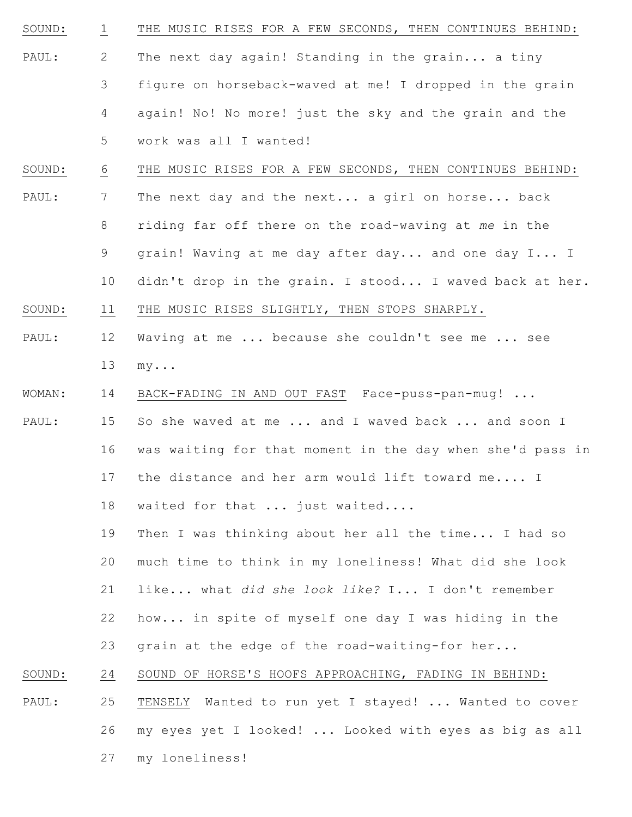- SOUND: PAUL: 1 2 3 4 5 THE MUSIC RISES FOR A FEW SECONDS, THEN CONTINUES BEHIND: The next day again! Standing in the grain... a tiny figure on horseback-waved at me! I dropped in the grain again! No! No more! just the sky and the grain and the work was all I wanted!
- SOUND: 6 THE MUSIC RISES FOR A FEW SECONDS, THEN CONTINUES BEHIND:
- PAUL: 7 8 9 10 The next day and the next... a girl on horse... back riding far off there on the road-waving at *me* in the grain! Waving at me day after day... and one day I... I didn't drop in the grain. I stood... I waved back at her.
- SOUND: 11 THE MUSIC RISES SLIGHTLY, THEN STOPS SHARPLY.
- PAUL: 12 13 Waving at me ... because she couldn't see me ... see my...
- WOMAN: 14 BACK-FADING IN AND OUT FAST Face-puss-pan-mug! ...
- PAUL: 15 16 17 So she waved at me ... and I waved back ... and soon I was waiting for that moment in the day when she'd pass in the distance and her arm would lift toward me.... I
	- 18 waited for that ... just waited....
	- 19 20 21 22 Then I was thinking about her all the time... I had so much time to think in my loneliness! What did she look like... what *did she look like?* I... I don't remember how... in spite of myself one day I was hiding in the
	- 23 grain at the edge of the road-waiting-for her...
- SOUND: 24 SOUND OF HORSE'S HOOFS APPROACHING, FADING IN BEHIND:
- PAUL: 25 26 TENSELY Wanted to run yet I stayed! ... Wanted to cover my eyes yet I looked! ... Looked with eyes as big as all
	- 27 my loneliness!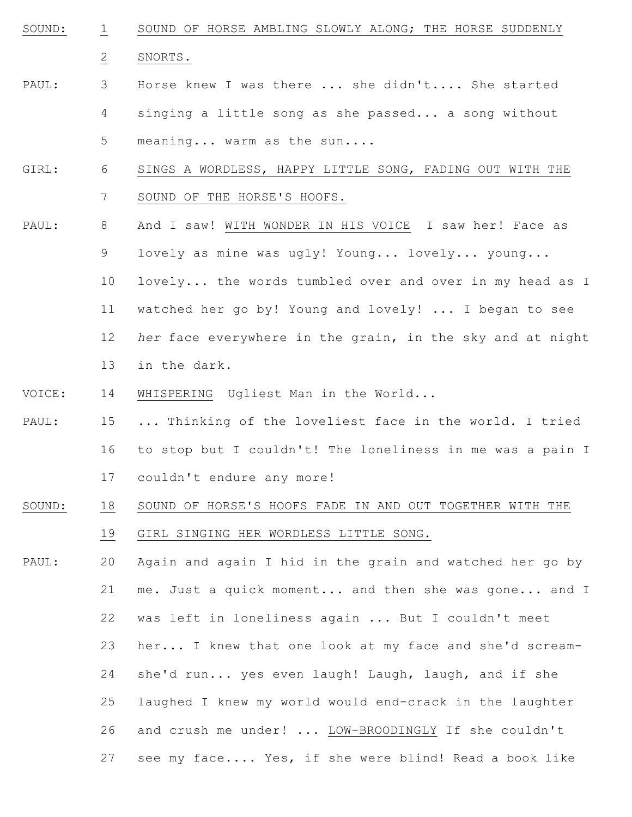SOUND: 1 SOUND OF HORSE AMBLING SLOWLY ALONG; THE HORSE SUDDENLY

SNORTS.

2

- PAUL: 3 4 5 Horse knew I was there ... she didn't.... She started singing a little song as she passed... a song without meaning... warm as the sun....
- GIRL: 6 7 SINGS A WORDLESS, HAPPY LITTLE SONG, FADING OUT WITH THE SOUND OF THE HORSE'S HOOFS.
- PAUL: 8 9 And I saw! WITH WONDER IN HIS VOICE I saw her! Face as lovely as mine was ugly! Young... lovely... young...
	- 10 11 12 13 lovely... the words tumbled over and over in my head as I watched her go by! Young and lovely! ... I began to see *her* face everywhere in the grain, in the sky and at night in the dark.
- VOICE: 14 WHISPERING Ugliest Man in the World...
- PAUL: 15 16 17 ... Thinking of the loveliest face in the world. I tried to stop but I couldn't! The loneliness in me was a pain I couldn't endure any more!
- SOUND: 18 SOUND OF HORSE'S HOOFS FADE IN AND OUT TOGETHER WITH THE
	- 19 GIRL SINGING HER WORDLESS LITTLE SONG.
- PAUL: 20 21 22 23 24 25 26 27 Again and again I hid in the grain and watched her go by me. Just a quick moment... and then she was gone... and I was left in loneliness again ... But I couldn't meet her... I knew that one look at my face and she'd screamshe'd run... yes even laugh! Laugh, laugh, and if she laughed I knew my world would end-crack in the laughter and crush me under! ... LOW-BROODINGLY If she couldn't see my face.... Yes, if she were blind! Read a book like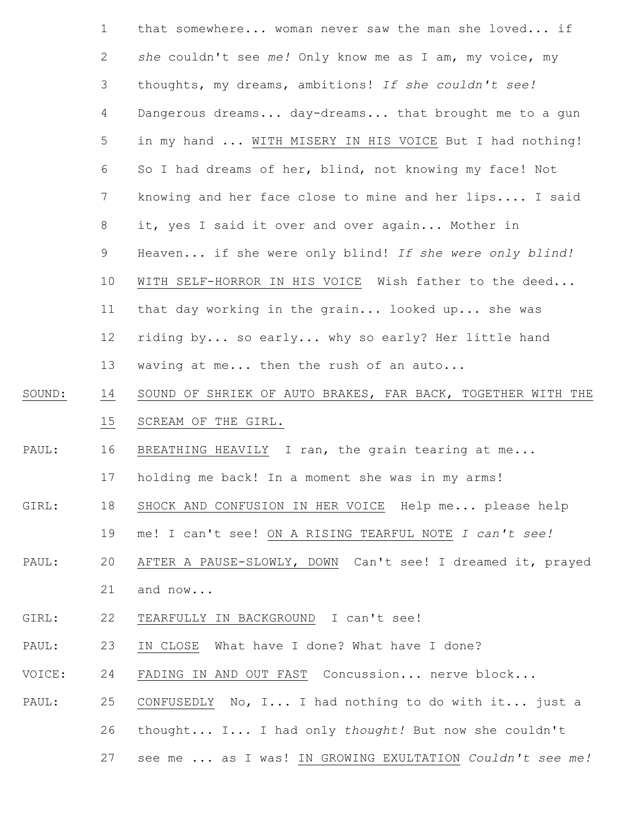| $\mathbf{1}$ | that somewhere woman never saw the man she loved if         |
|--------------|-------------------------------------------------------------|
| 2            | she couldn't see me! Only know me as I am, my voice, my     |
| 3            | thoughts, my dreams, ambitions! If she couldn't see!        |
| 4            | Dangerous dreams day-dreams that brought me to a gun        |
| 5            | in my hand  WITH MISERY IN HIS VOICE But I had nothing!     |
| 6            | So I had dreams of her, blind, not knowing my face! Not     |
| 7            | knowing and her face close to mine and her lips I said      |
| 8            | it, yes I said it over and over again Mother in             |
| 9            | Heaven if she were only blind! If she were only blind!      |
| 10           | WITH SELF-HORROR IN HIS VOICE Wish father to the deed       |
| 11           | that day working in the grain looked up she was             |
| 12           | riding by so early why so early? Her little hand            |
| 13           | waving at me then the rush of an auto                       |
| 14           | SOUND OF SHRIEK OF AUTO BRAKES, FAR BACK, TOGETHER WITH THE |
| 15           | SCREAM OF THE GIRL.                                         |
| 16           | BREATHING HEAVILY I ran, the grain tearing at me            |
| 17           | holding me back! In a moment she was in my arms!            |
| 18           | SHOCK AND CONFUSION IN HER VOICE Help me please help        |
| 19           | me! I can't see! ON A RISING TEARFUL NOTE I can't see!      |
| 20           | AFTER A PAUSE-SLOWLY, DOWN Can't see! I dreamed it, prayed  |
| 21           | and now                                                     |
| 22           | TEARFULLY IN BACKGROUND I can't see!                        |
| 23           | IN CLOSE What have I done? What have I done?                |
| 24           | FADING IN AND OUT FAST Concussion nerve block               |
| 25           | CONFUSEDLY No, I I had nothing to do with it just a         |

SOUND:

PAUL:

GIRL:

PAUL:

GIRL:

PAUL:

VOICE:

PAUL:

26 thought... I... I had only *thought!* But now she couldn't

27 see me ... as I was! IN GROWING EXULTATION *Couldn't see me!*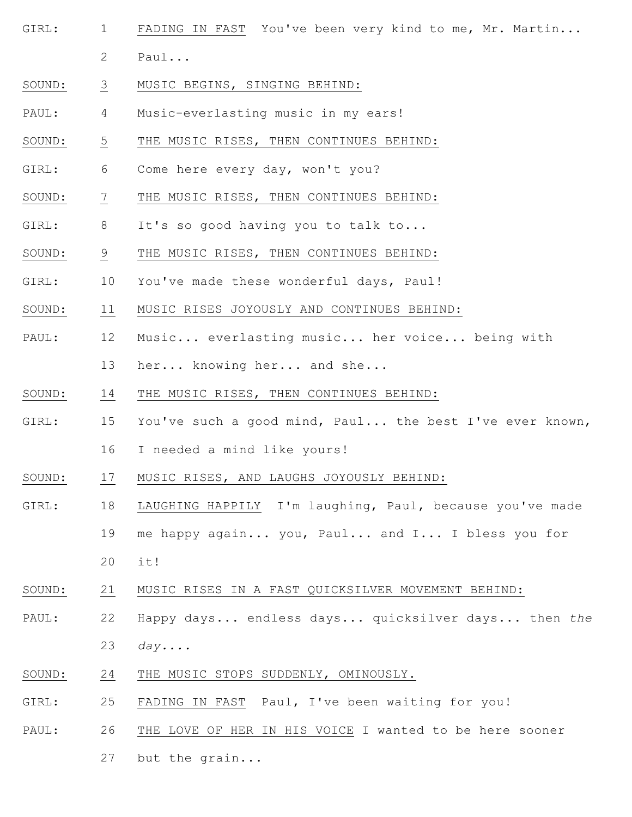- GIRL: 1 2 FADING IN FAST You've been very kind to me, Mr. Martin... Paul...
- SOUND: 3 MUSIC BEGINS, SINGING BEHIND:
- PAUL: 4 Music-everlasting music in my ears!
- SOUND: 5 THE MUSIC RISES, THEN CONTINUES BEHIND:
- GIRL: 6 Come here every day, won't you?
- SOUND: 7 THE MUSIC RISES, THEN CONTINUES BEHIND:
- GIRL: 8 It's so good having you to talk to...
- SOUND: 9 THE MUSIC RISES, THEN CONTINUES BEHIND:
- GIRL: 10 You've made these wonderful days, Paul!
- SOUND: 11 MUSIC RISES JOYOUSLY AND CONTINUES BEHIND:
- PAUL: 12 Music... everlasting music... her voice... being with
	- 13 her... knowing her... and she...
- SOUND: 14 THE MUSIC RISES, THEN CONTINUES BEHIND:
- GIRL: 15 You've such a good mind, Paul... the best I've ever known,
	- 16 I needed a mind like yours!
- SOUND: 17 MUSIC RISES, AND LAUGHS JOYOUSLY BEHIND:
- GIRL: 18 LAUGHING HAPPILY I'm laughing, Paul, because you've made
	- 19 me happy again... you, Paul... and I... I bless you for
	- 20 it!
- SOUND: 21 MUSIC RISES IN A FAST QUICKSILVER MOVEMENT BEHIND:
- PAUL: 22 23 Happy days... endless days... quicksilver days... then *the day....*
- SOUND: 24 THE MUSIC STOPS SUDDENLY, OMINOUSLY.
- GIRL: 25 FADING IN FAST Paul, I've been waiting for you!
- PAUL: 26 THE LOVE OF HER IN HIS VOICE I wanted to be here sooner

27 but the grain...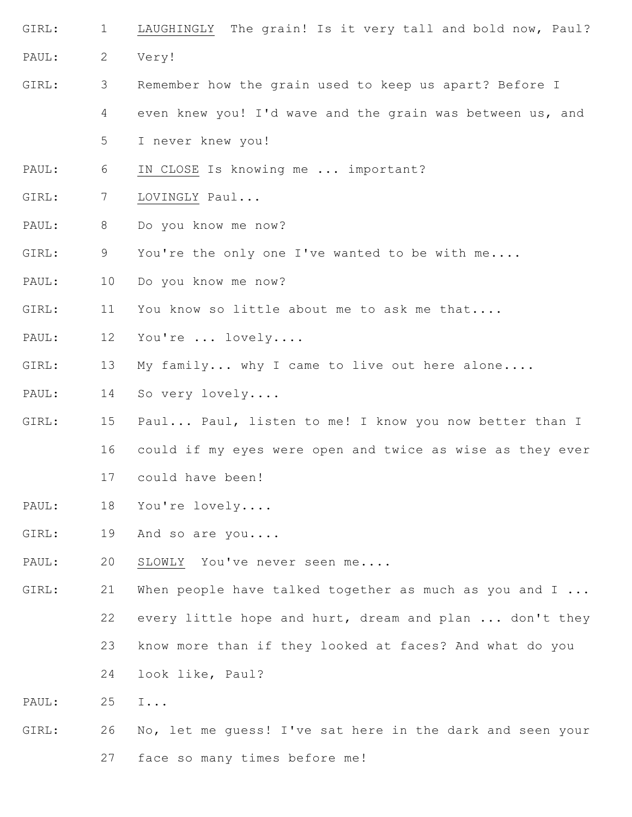- GIRL: PAUL: 1 2 LAUGHINGLY The grain! Is it very tall and bold now, Paul? Very!
- GIRL: 3 Remember how the grain used to keep us apart? Before I
	- 4 even knew you! I'd wave and the grain was between us, and

5 I never knew you!

- PAUL: 6 IN CLOSE Is knowing me ... important?
- GIRL: 7 LOVINGLY Paul...
- PAUL: 8 Do you know me now?
- GIRL: 9 You're the only one I've wanted to be with me....
- PAUL: 10 Do you know me now?
- GIRL: 11 You know so little about me to ask me that....
- PAUL: 12 You're ... lovely....
- GIRL: 13 My family... why I came to live out here alone....
- PAUL: 14 So very lovely....
- GIRL: 15 16 17 Paul... Paul, listen to me! I know you now better than I could if my eyes were open and twice as wise as they ever could have been!
- PAUL: 18 You're lovely....
- GIRL: 19 And so are you....
- PAUL: 20 SLOWLY You've never seen me....
- GIRL: 21 22 When people have talked together as much as you and I ... every little hope and hurt, dream and plan ... don't they
	- 23 know more than if they looked at faces? And what do you
	- 24 look like, Paul?

PAUL: 25 I...

- GIRL: 26 No, let me guess! I've sat here in the dark and seen your
	- 27 face so many times before me!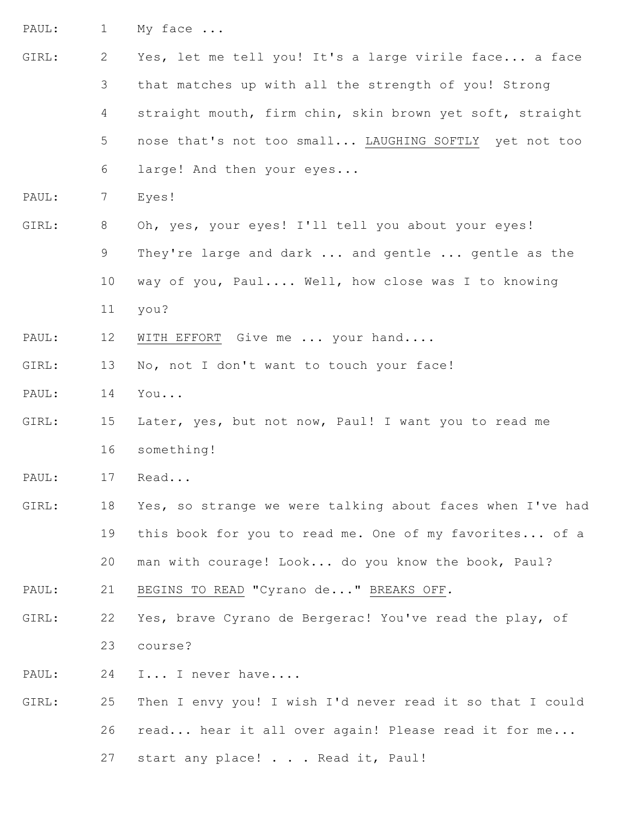PAUL: 1 My face ...

- GIRL: PAUL: GIRL: PAUL: GIRL: PAUL: GIRL: PAUL: GIRL: PAUL: GIRL: PAUL: GIRL: 2 3 4 5 6 7 8 9 10 11 12 13 14 15 16 17 18 19 20 21 22 23 24 25 26 Yes, let me tell you! It's a large virile face... a face that matches up with all the strength of you! Strong straight mouth, firm chin, skin brown yet soft, straight nose that's not too small... LAUGHING SOFTLY yet not too large! And then your eyes... Eyes! Oh, yes, your eyes! I'll tell you about your eyes! They're large and dark ... and gentle ... gentle as the way of you, Paul.... Well, how close was I to knowing you? WITH EFFORT Give me ... your hand.... No, not I don't want to touch your face! You... Later, yes, but not now, Paul! I want you to read me something! Read... Yes, so strange we were talking about faces when I've had this book for you to read me. One of my favorites... of a man with courage! Look... do you know the book, Paul? BEGINS TO READ "Cyrano de..." BREAKS OFF*.* Yes, brave Cyrano de Bergerac! You've read the play, of course? I... I never have.... Then I envy you! I wish I'd never read it so that I could read... hear it all over again! Please read it for me...
	- 27 start any place! . . . Read it, Paul!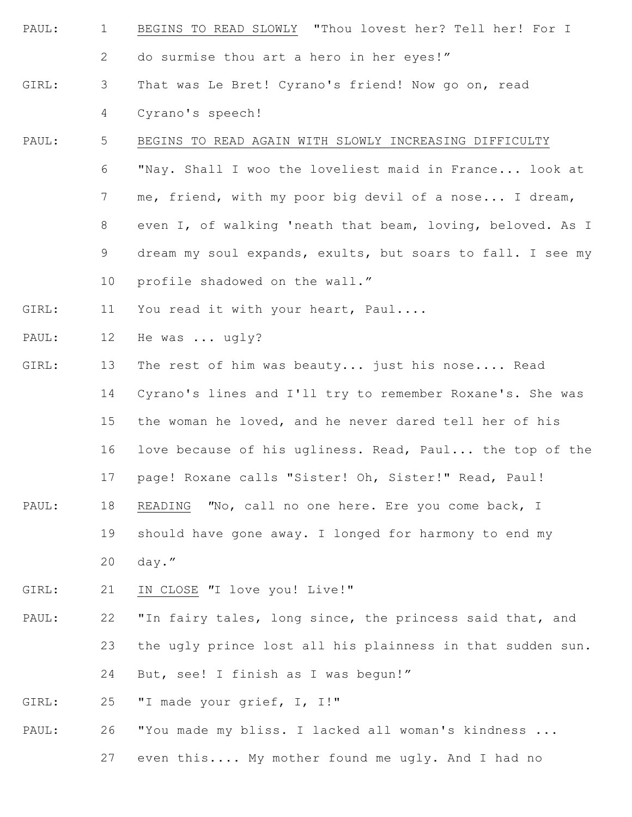- PAUL: 1 2 BEGINS TO READ SLOWLY "Thou lovest her? Tell her! For I do surmise thou art a hero in her eyes!"
- GIRL: 3 4 That was Le Bret! Cyrano's friend! Now go on, read Cyrano's speech!

#### PAUL: 5 BEGINS TO READ AGAIN WITH SLOWLY INCREASING DIFFICULTY

- 6 7 8 9 10 "Nay. Shall I woo the loveliest maid in France... look at me, friend, with my poor big devil of a nose... I dream, even I, of walking 'neath that beam, loving, beloved. As I dream my soul expands, exults, but soars to fall. I see my profile shadowed on the wall."
- GIRL: 11 You read it with your heart, Paul....
- PAUL: 12 He was ... ugly?
- GIRL: PAUL: 13 14 15 16 17 18 19 The rest of him was beauty... just his nose.... Read Cyrano's lines and I'll try to remember Roxane's. She was the woman he loved, and he never dared tell her of his love because of his ugliness. Read, Paul... the top of the page! Roxane calls "Sister! Oh, Sister!" Read, Paul! READING *"*No, call no one here. Ere you come back, I should have gone away. I longed for harmony to end my
	- - 20 day."
- GIRL: 21 IN CLOSE *"*I love you! Live!"
- PAUL: 22 23 24 "In fairy tales, long since, the princess said that, and the ugly prince lost all his plainness in that sudden sun. But, see! I finish as I was begun!"
- GIRL: 25 "I made your grief, I, I!"
- PAUL: 26 "You made my bliss. I lacked all woman's kindness ...
	- 27 even this.... My mother found me ugly. And I had no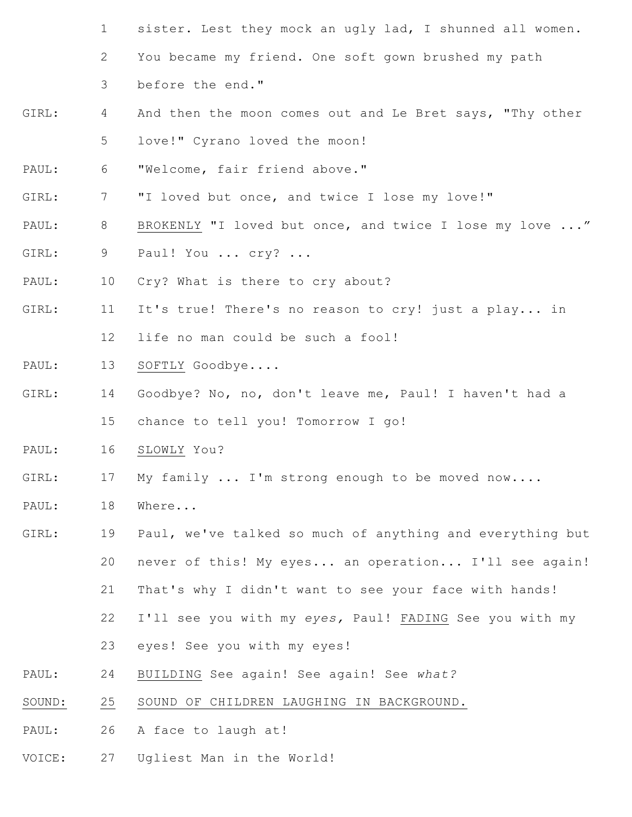- 1 sister. Lest they mock an ugly lad, I shunned all women.
- 2 You became my friend. One soft gown brushed my path
- 3 before the end."
- GIRL: 4 5 And then the moon comes out and Le Bret says, "Thy other love!" Cyrano loved the moon!
- PAUL: 6 "Welcome, fair friend above."
- GIRL: 7 "I loved but once, and twice I lose my love!"
- PAUL: 8 BROKENLY "I loved but once, and twice I lose my love ..."
- GIRL: 9 Paul! You ... cry? ...
- PAUL: 10 Cry? What is there to cry about?
- GIRL: 11 12 It's true! There's no reason to cry! just a play... in life no man could be such a fool!
- PAUL: 13 SOFTLY Goodbye....
- GIRL: 14 15 Goodbye? No, no, don't leave me, Paul! I haven't had a chance to tell you! Tomorrow I go!
- PAUL: 16 SLOWLY You?
- GIRL: 17 My family ... I'm strong enough to be moved now....
- PAUL: 18 Where...
- GIRL: 19 20 21 22 Paul, we've talked so much of anything and everything but never of this! My eyes... an operation... I'll see again! That's why I didn't want to see your face with hands! I'll see you with my *eyes,* Paul! FADING See you with my
	- 23 eyes! See you with my eyes!
- PAUL: 24 BUILDING See again! See again! See *what?*
- SOUND: 25 SOUND OF CHILDREN LAUGHING IN BACKGROUND.
- PAUL: 26 A face to laugh at!
- VOICE: 27 Ugliest Man in the World!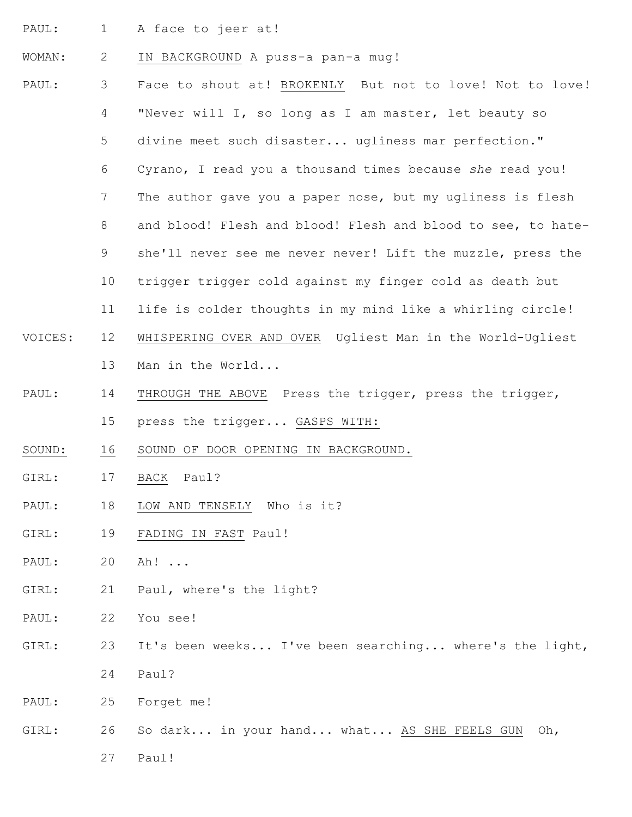PAUL: 1 A face to jeer at!

#### WOMAN: 2 IN BACKGROUND A puss-a pan-a mug!

- PAUL: VOICES: PAUL: SOUND: GIRL: PAUL: GIRL: PAUL: GIRL: PAUL: GIRL: PAUL: 3 4 5 6 7 8 9 10 11 12 13 14 15 16 17 18 19 20 21 22 23 24 25 Face to shout at! BROKENLY But not to love! Not to love! "Never will I, so long as I am master, let beauty so divine meet such disaster... ugliness mar perfection." Cyrano, I read you a thousand times because *she* read you! The author gave you a paper nose, but my ugliness is flesh and blood! Flesh and blood! Flesh and blood to see, to hateshe'll never see me never never! Lift the muzzle, press the trigger trigger cold against my finger cold as death but life is colder thoughts in my mind like a whirling circle! WHISPERING OVER AND OVER Ugliest Man in the World-Ugliest Man in the World... THROUGH THE ABOVE Press the trigger, press the trigger, press the trigger... GASPS WITH: SOUND OF DOOR OPENING IN BACKGROUND. BACK Paul? LOW AND TENSELY Who is it? FADING IN FAST Paul! Ah! ... Paul, where's the light? You see! It's been weeks... I've been searching... where's the light, Paul? Forget me!
- GIRL: 26 So dark... in your hand... what... AS SHE FEELS GUN Oh,

27 Paul!